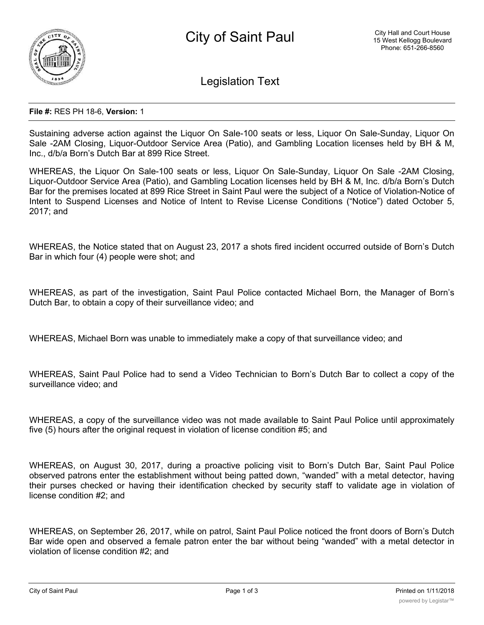

Legislation Text

## **File #:** RES PH 18-6, **Version:** 1

Sustaining adverse action against the Liquor On Sale-100 seats or less, Liquor On Sale-Sunday, Liquor On Sale -2AM Closing, Liquor-Outdoor Service Area (Patio), and Gambling Location licenses held by BH & M, Inc., d/b/a Born's Dutch Bar at 899 Rice Street.

WHEREAS, the Liquor On Sale-100 seats or less, Liquor On Sale-Sunday, Liquor On Sale -2AM Closing, Liquor-Outdoor Service Area (Patio), and Gambling Location licenses held by BH & M, Inc. d/b/a Born's Dutch Bar for the premises located at 899 Rice Street in Saint Paul were the subject of a Notice of Violation-Notice of Intent to Suspend Licenses and Notice of Intent to Revise License Conditions ("Notice") dated October 5, 2017; and

WHEREAS, the Notice stated that on August 23, 2017 a shots fired incident occurred outside of Born's Dutch Bar in which four (4) people were shot; and

WHEREAS, as part of the investigation, Saint Paul Police contacted Michael Born, the Manager of Born's Dutch Bar, to obtain a copy of their surveillance video; and

WHEREAS, Michael Born was unable to immediately make a copy of that surveillance video; and

WHEREAS, Saint Paul Police had to send a Video Technician to Born's Dutch Bar to collect a copy of the surveillance video; and

WHEREAS, a copy of the surveillance video was not made available to Saint Paul Police until approximately five (5) hours after the original request in violation of license condition #5; and

WHEREAS, on August 30, 2017, during a proactive policing visit to Born's Dutch Bar, Saint Paul Police observed patrons enter the establishment without being patted down, "wanded" with a metal detector, having their purses checked or having their identification checked by security staff to validate age in violation of license condition #2; and

WHEREAS, on September 26, 2017, while on patrol, Saint Paul Police noticed the front doors of Born's Dutch Bar wide open and observed a female patron enter the bar without being "wanded" with a metal detector in violation of license condition #2; and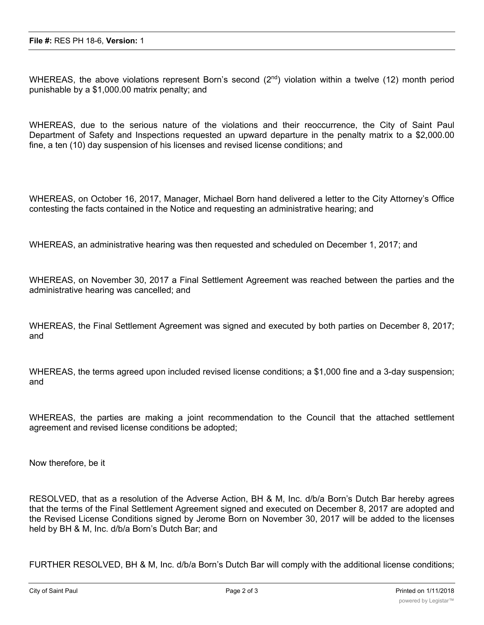WHEREAS, the above violations represent Born's second  $(2^{nd})$  violation within a twelve (12) month period punishable by a \$1,000.00 matrix penalty; and

WHEREAS, due to the serious nature of the violations and their reoccurrence, the City of Saint Paul Department of Safety and Inspections requested an upward departure in the penalty matrix to a \$2,000.00 fine, a ten (10) day suspension of his licenses and revised license conditions; and

WHEREAS, on October 16, 2017, Manager, Michael Born hand delivered a letter to the City Attorney's Office contesting the facts contained in the Notice and requesting an administrative hearing; and

WHEREAS, an administrative hearing was then requested and scheduled on December 1, 2017; and

WHEREAS, on November 30, 2017 a Final Settlement Agreement was reached between the parties and the administrative hearing was cancelled; and

WHEREAS, the Final Settlement Agreement was signed and executed by both parties on December 8, 2017; and

WHEREAS, the terms agreed upon included revised license conditions; a \$1,000 fine and a 3-day suspension; and

WHEREAS, the parties are making a joint recommendation to the Council that the attached settlement agreement and revised license conditions be adopted;

Now therefore, be it

RESOLVED, that as a resolution of the Adverse Action, BH & M, Inc. d/b/a Born's Dutch Bar hereby agrees that the terms of the Final Settlement Agreement signed and executed on December 8, 2017 are adopted and the Revised License Conditions signed by Jerome Born on November 30, 2017 will be added to the licenses held by BH & M, Inc. d/b/a Born's Dutch Bar; and

FURTHER RESOLVED, BH & M, Inc. d/b/a Born's Dutch Bar will comply with the additional license conditions;